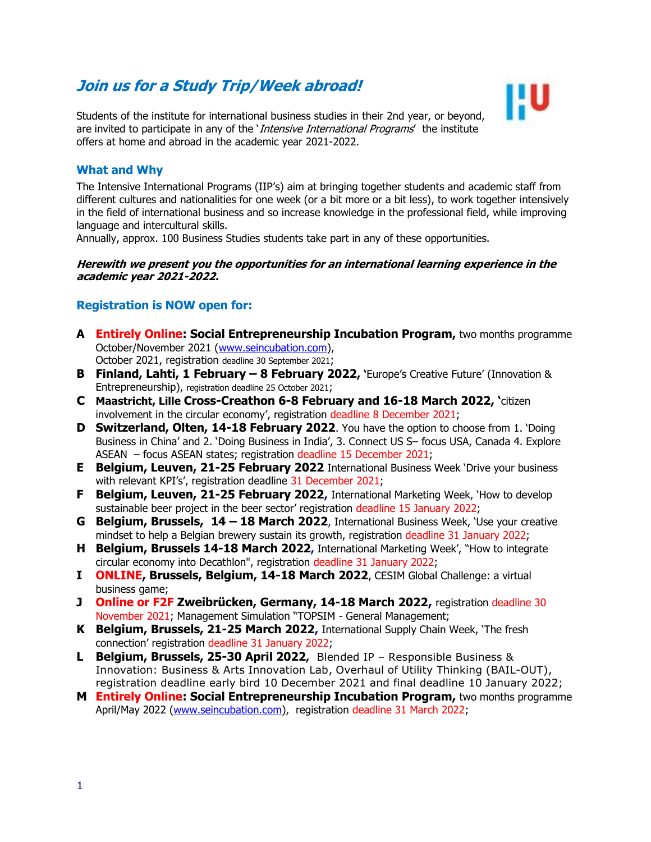# **Join us for a Study Trip/Week abroad!**



Students of the institute for international business studies in their 2nd year, or beyond, are invited to participate in any of the *Intensive International Programs'* the institute offers at home and abroad in the academic year 2021-2022.

### **What and Why**

The Intensive International Programs (IIP's) aim at bringing together students and academic staff from different cultures and nationalities for one week (or a bit more or a bit less), to work together intensively in the field of international business and so increase knowledge in the professional field, while improving language and intercultural skills.

Annually, approx. 100 Business Studies students take part in any of these opportunities.

#### **Herewith we present you the opportunities for an international learning experience in the academic year 2021-2022.**

## **Registration is NOW open for:**

- **A Entirely Online: Social Entrepreneurship Incubation Program,** two months programme October/November 2021 [\(www.seincubation.com\)](http://www.seincubation.com/), October 2021, registration deadline 30 September 2021;
- **B Finland, Lahti, 1 February – 8 February 2022, '**Europe's Creative Future' (Innovation & Entrepreneurship), registration deadline 25 October 2021;
- **C Maastricht, Lille Cross-Creathon 6-8 February and 16-18 March 2022, '**citizen involvement in the circular economy', registration deadline 8 December 2021;
- **D Switzerland, Olten, 14-18 February 2022.** You have the option to choose from 1. 'Doing Business in China' and 2. 'Doing Business in India', 3. Connect US S– focus USA, Canada 4. Explore ASEAN – focus ASEAN states; registration deadline 15 December 2021;
- **E Belgium, Leuven, 21-25 February 2022** International Business Week 'Drive your business with relevant KPI's', registration deadline 31 December 2021;
- **F Belgium, Leuven, 21-25 February 2022,** International Marketing Week, 'How to develop sustainable beer project in the beer sector' registration deadline 15 January 2022;
- **G Belgium, Brussels, 14 – 18 March 2022**, International Business Week, 'Use your creative mindset to help a Belgian brewery sustain its growth, registration deadline 31 January 2022;
- **H Belgium, Brussels 14-18 March 2022,** International Marketing Week', "How to integrate circular economy into Decathlon", registration deadline 31 January 2022;
- **I ONLINE, Brussels, Belgium, 14-18 March 2022**, CESIM Global Challenge: a virtual business game;
- **J Online or F2F Zweibrücken, Germany, 14-18 March 2022,** registration deadline 30 November 2021; Management Simulation "TOPSIM - General Management;
- **K Belgium, Brussels, 21-25 March 2022,** International Supply Chain Week, 'The fresh connection' registration deadline 31 January 2022;
- **L Belgium, Brussels, 25-30 April 2022,** Blended IP Responsible Business & Innovation: Business & Arts Innovation Lab, Overhaul of Utility Thinking (BAIL-OUT), registration deadline early bird 10 December 2021 and final deadline 10 January 2022;
- **M Entirely Online: Social Entrepreneurship Incubation Program,** two months programme April/May 2022 [\(www.seincubation.com\)](http://www.seincubation.com/), registration deadline 31 March 2022;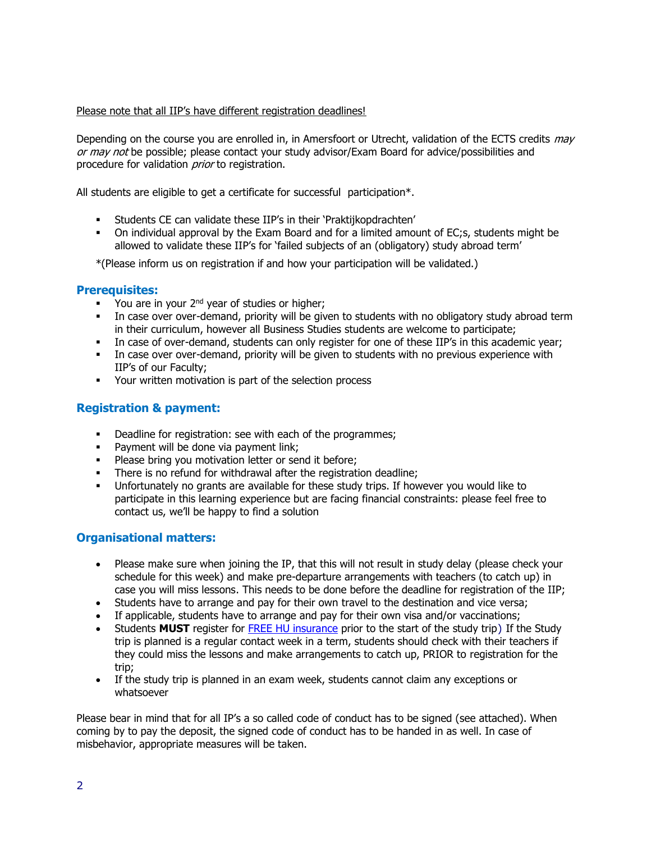#### Please note that all IIP's have different registration deadlines!

Depending on the course you are enrolled in, in Amersfoort or Utrecht, validation of the ECTS credits may or may not be possible; please contact your study advisor/Exam Board for advice/possibilities and procedure for validation *prior* to registration.

All students are eligible to get a certificate for successful participation\*.

- Students CE can validate these IIP's in their 'Praktijkopdrachten'
- On individual approval by the Exam Board and for a limited amount of EC;s, students might be allowed to validate these IIP's for 'failed subjects of an (obligatory) study abroad term'

\*(Please inform us on registration if and how your participation will be validated.)

## **Prerequisites:**

- **•** You are in your  $2^{nd}$  year of studies or higher;
- **•** In case over over-demand, priority will be given to students with no obligatory study abroad term in their curriculum, however all Business Studies students are welcome to participate;
- **·** In case of over-demand, students can only register for one of these IIP's in this academic vear;
- **•** In case over over-demand, priority will be given to students with no previous experience with IIP's of our Faculty;
- Your written motivation is part of the selection process

## **Registration & payment:**

- Deadline for registration: see with each of the programmes;
- **•** Payment will be done via payment link;
- **•** Please bring you motivation letter or send it before;
- **•** There is no refund for withdrawal after the registration deadline;
- Unfortunately no grants are available for these study trips. If however you would like to participate in this learning experience but are facing financial constraints: please feel free to contact us, we'll be happy to find a solution

### **Organisational matters:**

- Please make sure when joining the IP, that this will not result in study delay (please check your schedule for this week) and make pre-departure arrangements with teachers (to catch up) in case you will miss lessons. This needs to be done before the deadline for registration of the IIP;
- Students have to arrange and pay for their own travel to the destination and vice versa;
- If applicable, students have to arrange and pay for their own visa and/or vaccinations;
- Students **MUST** register for [FREE HU insurance](https://askhu.sharepoint.hu.nl/informatie-items/Paginas/Registration%20and%20free%20insurance.aspx) prior to the start of the study trip) If the Study trip is planned is a regular contact week in a term, students should check with their teachers if they could miss the lessons and make arrangements to catch up, PRIOR to registration for the trip;
- If the study trip is planned in an exam week, students cannot claim any exceptions or whatsoever

Please bear in mind that for all IP's a so called code of conduct has to be signed (see attached). When coming by to pay the deposit, the signed code of conduct has to be handed in as well. In case of misbehavior, appropriate measures will be taken.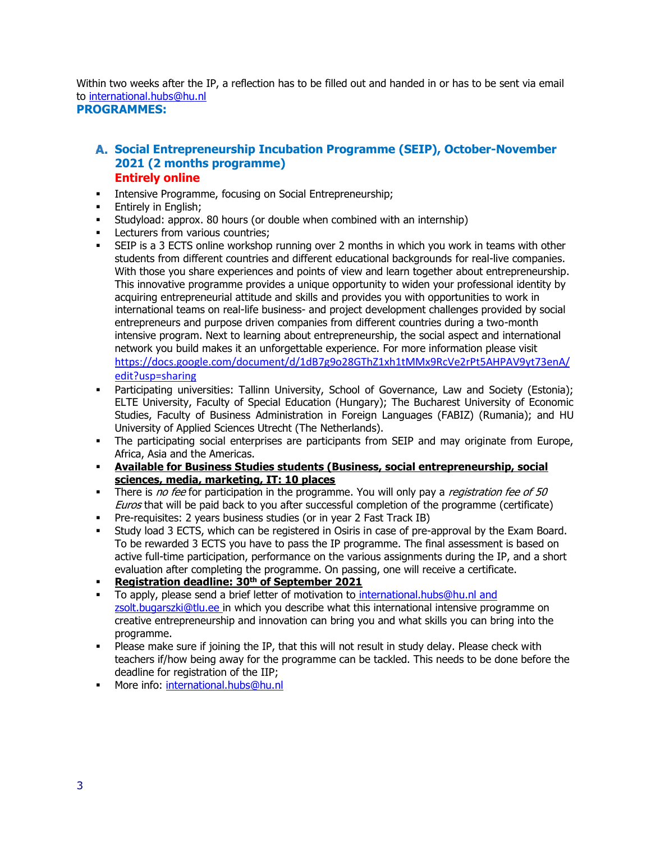Within two weeks after the IP, a reflection has to be filled out and handed in or has to be sent via email to [international.hubs@hu.nl](mailto:international.hubs@hu.nl)

### **PROGRAMMES:**

## **Social Entrepreneurship Incubation Programme (SEIP), October-November 2021 (2 months programme) Entirely online**

- **Intensive Programme, focusing on Social Entrepreneurship;**
- **Entirely in English;**
- **EXECT** Studyload: approx. 80 hours (or double when combined with an internship)
- Lecturers from various countries;
- SEIP is a 3 ECTS online workshop running over 2 months in which you work in teams with other students from different countries and different educational backgrounds for real-live companies. With those you share experiences and points of view and learn together about entrepreneurship. This innovative programme provides a unique opportunity to widen your professional identity by acquiring entrepreneurial attitude and skills and provides you with opportunities to work in international teams on real-life business- and project development challenges provided by social entrepreneurs and purpose driven companies from different countries during a two-month intensive program. Next to learning about entrepreneurship, the social aspect and international network you build makes it an unforgettable experience. For more information please visit [https://docs.google.com/document/d/1dB7g9o28GThZ1xh1tMMx9RcVe2rPt5AHPAV9yt73enA/](https://docs.google.com/document/d/1dB7g9o28GThZ1xh1tMMx9RcVe2rPt5AHPAV9yt73enA/edit?usp=sharing) [edit?usp=sharing](https://docs.google.com/document/d/1dB7g9o28GThZ1xh1tMMx9RcVe2rPt5AHPAV9yt73enA/edit?usp=sharing)
- Participating universities: Tallinn University, School of Governance, Law and Society (Estonia); ELTE University, Faculty of Special Education (Hungary); The Bucharest University of Economic Studies, Faculty of Business Administration in Foreign Languages (FABIZ) (Rumania); and HU University of Applied Sciences Utrecht (The Netherlands).
- **·** The participating social enterprises are participants from SEIP and may originate from Europe, Africa, Asia and the Americas.
- **Available for Business Studies students (Business, social entrepreneurship, social sciences, media, marketing, IT: 10 places**
- There is no fee for participation in the programme. You will only pay a *registration fee of 50* Euros that will be paid back to you after successful completion of the programme (certificate)
- **•** Pre-requisites: 2 years business studies (or in year 2 Fast Track IB)
- Study load 3 ECTS, which can be registered in Osiris in case of pre-approval by the Exam Board. To be rewarded 3 ECTS you have to pass the IP programme. The final assessment is based on active full-time participation, performance on the various assignments during the IP, and a short evaluation after completing the programme. On passing, one will receive a certificate.
- **Registration deadline: 30 th of September 2021**
- To apply, please send a brief letter of motivation to [international.hubs@hu.nl](mailto:international.hubs@hu.nl) and [zsolt.bugarszki@tlu.ee](mailto:zsolt.bugarszki@tlu.ee) in which you describe what this international intensive programme on creative entrepreneurship and innovation can bring you and what skills you can bring into the programme.
- . Please make sure if joining the IP, that this will not result in study delay. Please check with teachers if/how being away for the programme can be tackled. This needs to be done before the deadline for registration of the IIP;
- **■** More info: [international.hubs@hu.nl](mailto:international.hubs@hu.nl)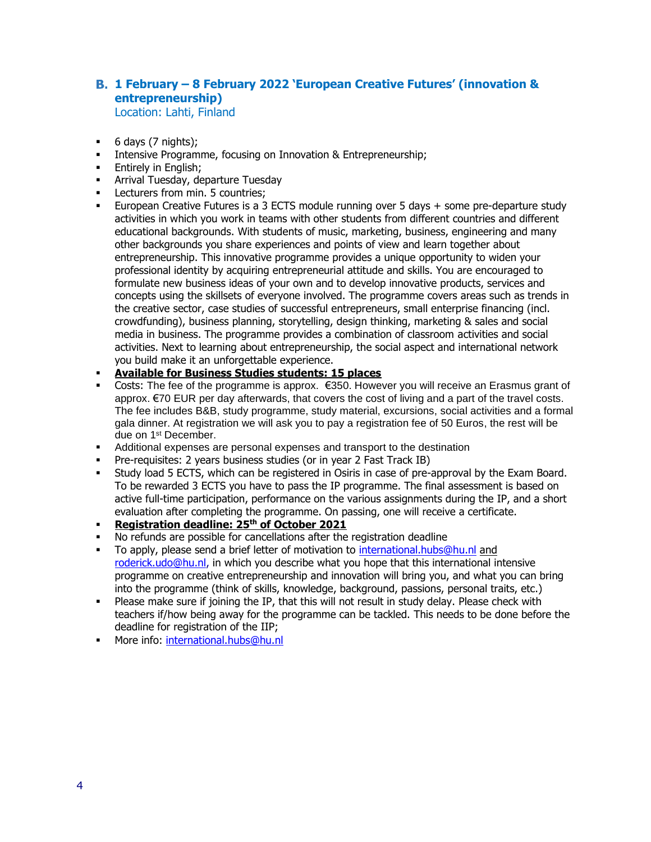# **1 February – 8 February 2022 'European Creative Futures' (innovation & entrepreneurship)**

Location: Lahti, Finland

- 6 days (7 nights);
- Intensive Programme, focusing on Innovation & Entrepreneurship;
- **Entirely in English;**
- **EXEC** Arrival Tuesday, departure Tuesday
- **•** Lecturers from min. 5 countries;
- **European Creative Futures is a 3 ECTS module running over 5 days + some pre-departure study** activities in which you work in teams with other students from different countries and different educational backgrounds. With students of music, marketing, business, engineering and many other backgrounds you share experiences and points of view and learn together about entrepreneurship. This innovative programme provides a unique opportunity to widen your professional identity by acquiring entrepreneurial attitude and skills. You are encouraged to formulate new business ideas of your own and to develop innovative products, services and concepts using the skillsets of everyone involved. The programme covers areas such as trends in the creative sector, case studies of successful entrepreneurs, small enterprise financing (incl. crowdfunding), business planning, storytelling, design thinking, marketing & sales and social media in business. The programme provides a combination of classroom activities and social activities. Next to learning about entrepreneurship, the social aspect and international network you build make it an unforgettable experience.
- **Available for Business Studies students: 15 places**
- Costs: The fee of the programme is approx. €350. However you will receive an Erasmus grant of approx. €70 EUR per day afterwards, that covers the cost of living and a part of the travel costs. The fee includes B&B, study programme, study material, excursions, social activities and a formal gala dinner. At registration we will ask you to pay a registration fee of 50 Euros, the rest will be due on 1st December.
- Additional expenses are personal expenses and transport to the destination
- Pre-requisites: 2 years business studies (or in year 2 Fast Track IB)
- Study load 5 ECTS, which can be registered in Osiris in case of pre-approval by the Exam Board. To be rewarded 3 ECTS you have to pass the IP programme. The final assessment is based on active full-time participation, performance on the various assignments during the IP, and a short evaluation after completing the programme. On passing, one will receive a certificate.
- **Registration deadline: 25th of October 2021**
- No refunds are possible for cancellations after the registration deadline
- To apply, please send a brief letter of motivation to [international.hubs@hu.nl](mailto:international.hubs@hu.nl) and [roderick.udo@hu.nl,](mailto:roderick.udo@hu.nl) in which you describe what you hope that this international intensive programme on creative entrepreneurship and innovation will bring you, and what you can bring into the programme (think of skills, knowledge, background, passions, personal traits, etc.)
- **•** Please make sure if joining the IP, that this will not result in study delay. Please check with teachers if/how being away for the programme can be tackled. This needs to be done before the deadline for registration of the IIP;
- **■** More info: [international.hubs@hu.nl](mailto:international.hubs@hu.nl)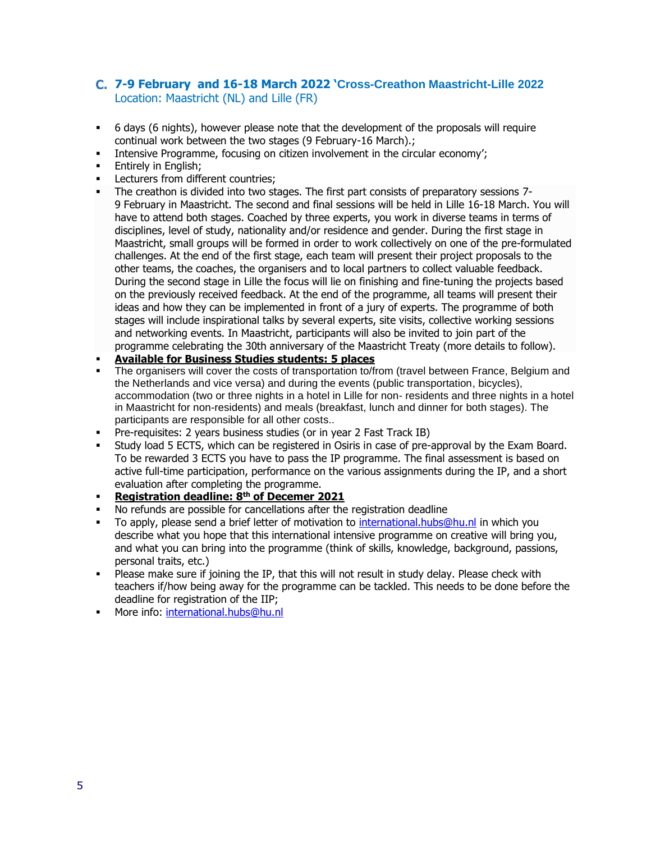## **7-9 February and 16-18 March 2022 'Cross-Creathon Maastricht-Lille 2022** Location: Maastricht (NL) and Lille (FR)

- 6 days (6 nights), however please note that the development of the proposals will require continual work between the two stages (9 February-16 March).;
- **•** Intensive Programme, focusing on citizen involvement in the circular economy';
- **Entirely in English:**
- **•** Lecturers from different countries:
- The creathon is divided into two stages. The first part consists of preparatory sessions 7- 9 February in Maastricht. The second and final sessions will be held in Lille 16-18 March. You will have to attend both stages. Coached by three experts, you work in diverse teams in terms of disciplines, level of study, nationality and/or residence and gender. During the first stage in Maastricht, small groups will be formed in order to work collectively on one of the pre-formulated challenges. At the end of the first stage, each team will present their project proposals to the other teams, the coaches, the organisers and to local partners to collect valuable feedback. During the second stage in Lille the focus will lie on finishing and fine-tuning the projects based on the previously received feedback. At the end of the programme, all teams will present their ideas and how they can be implemented in front of a jury of experts. The programme of both stages will include inspirational talks by several experts, site visits, collective working sessions and networking events. In Maastricht, participants will also be invited to join part of the programme celebrating the 30th anniversary of the Maastricht Treaty (more details to follow).
- **Available for Business Studies students: 5 places**
- The organisers will cover the costs of transportation to/from (travel between France, Belgium and the Netherlands and vice versa) and during the events (public transportation, bicycles), accommodation (two or three nights in a hotel in Lille for non- residents and three nights in a hotel in Maastricht for non-residents) and meals (breakfast, lunch and dinner for both stages). The participants are responsible for all other costs..
- Pre-requisites: 2 years business studies (or in year 2 Fast Track IB)
- Study load 5 ECTS, which can be registered in Osiris in case of pre-approval by the Exam Board. To be rewarded 3 ECTS you have to pass the IP programme. The final assessment is based on active full-time participation, performance on the various assignments during the IP, and a short evaluation after completing the programme.
- **Registration deadline: 8 th of Decemer 2021**
- No refunds are possible for cancellations after the registration deadline
- To apply, please send a brief letter of motivation to [international.hubs@hu.nl](mailto:international.hubs@hu.nl) in which you describe what you hope that this international intensive programme on creative will bring you, and what you can bring into the programme (think of skills, knowledge, background, passions, personal traits, etc.)
- **•** Please make sure if joining the IP, that this will not result in study delay. Please check with teachers if/how being away for the programme can be tackled. This needs to be done before the deadline for registration of the IIP;
- **■** More info: [international.hubs@hu.nl](mailto:international.hubs@hu.nl)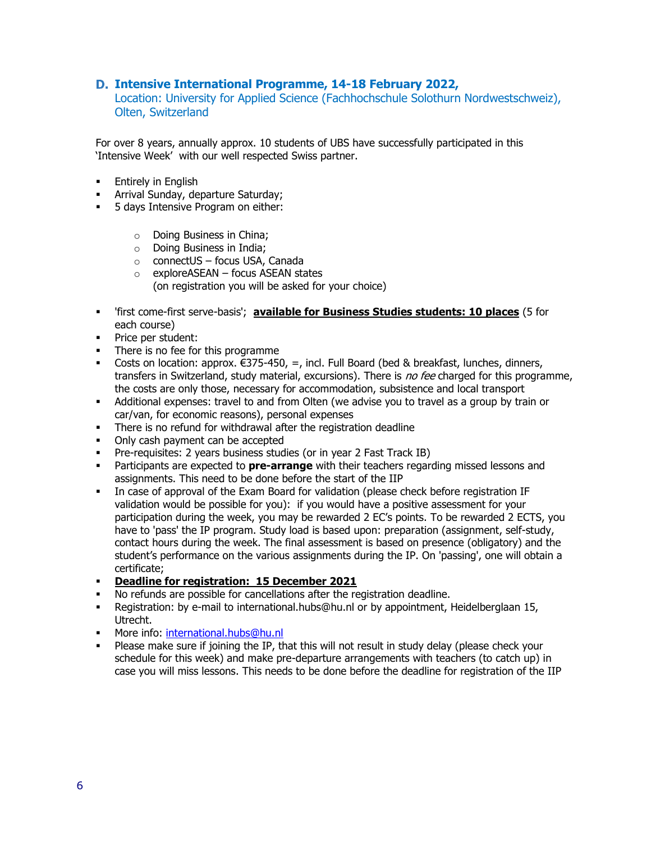#### **Intensive International Programme, 14-18 February 2022,**

Location: University for Applied Science (Fachhochschule Solothurn Nordwestschweiz), Olten, Switzerland

For over 8 years, annually approx. 10 students of UBS have successfully participated in this 'Intensive Week' with our well respected Swiss partner.

- **Entirely in English**
- **EXEDENT** Arrival Sunday, departure Saturday;
- **•** 5 days Intensive Program on either:
	- o Doing Business in China;
	- o Doing Business in India;
	- o connectUS focus USA, Canada
	- $\circ$  exploreASEAN focus ASEAN states (on registration you will be asked for your choice)
- 'first come-first serve-basis'; **available for Business Studies students: 10 places** (5 for each course)
- Price per student:
- There is no fee for this programme
- Costs on location: approx.  $\epsilon$ 375-450, =, incl. Full Board (bed & breakfast, lunches, dinners, transfers in Switzerland, study material, excursions). There is *no fee* charged for this programme, the costs are only those, necessary for accommodation, subsistence and local transport
- **EXED** Additional expenses: travel to and from Olten (we advise you to travel as a group by train or car/van, for economic reasons), personal expenses
- **•** There is no refund for withdrawal after the registration deadline
- Only cash payment can be accepted
- **•** Pre-requisites: 2 years business studies (or in year 2 Fast Track IB)
- **EXECT** Participants are expected to **pre-arrange** with their teachers regarding missed lessons and assignments. This need to be done before the start of the IIP
- In case of approval of the Exam Board for validation (please check before registration IF validation would be possible for you): if you would have a positive assessment for your participation during the week, you may be rewarded 2 EC's points. To be rewarded 2 ECTS, you have to 'pass' the IP program. Study load is based upon: preparation (assignment, self-study, contact hours during the week. The final assessment is based on presence (obligatory) and the student's performance on the various assignments during the IP. On 'passing', one will obtain a certificate;
- **Deadline for registration: 15 December 2021**
- No refunds are possible for cancellations after the registration deadline.
- Registration: by e-mail to international.hubs@hu.nl or by appointment, Heidelberglaan 15, Utrecht.
- **■** More info: [international.hubs@hu.nl](mailto:international.hubs@hu.nl)
- Please make sure if joining the IP, that this will not result in study delay (please check your schedule for this week) and make pre-departure arrangements with teachers (to catch up) in case you will miss lessons. This needs to be done before the deadline for registration of the IIP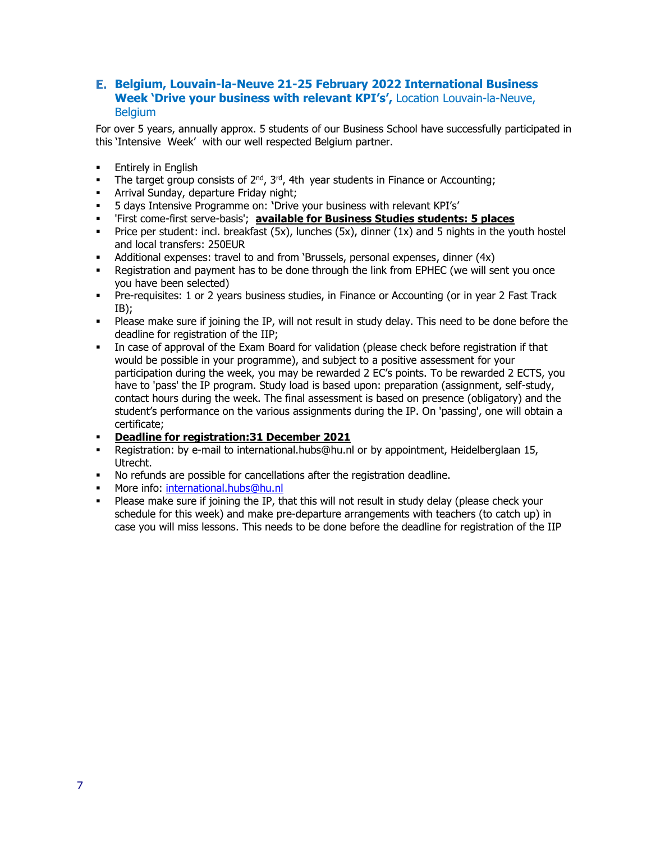#### **Belgium, Louvain-la-Neuve 21-25 February 2022 International Business Week 'Drive your business with relevant KPI's',** Location Louvain-la-Neuve, **Belgium**

- **Entirely in English**
- The target group consists of  $2^{nd}$ ,  $3^{rd}$ , 4th year students in Finance or Accounting;
- **EXEDENT** Arrival Sunday, departure Friday night;
- 5 days Intensive Programme on: **'**Drive your business with relevant KPI's'
- 'First come-first serve-basis'; **available for Business Studies students: 5 places**
- **•** Price per student: incl. breakfast  $(5x)$ , lunches  $(5x)$ , dinner  $(1x)$  and 5 nights in the youth hostel and local transfers: 250EUR
- Additional expenses: travel to and from 'Brussels, personal expenses, dinner (4x)
- **•** Registration and payment has to be done through the link from EPHEC (we will sent you once you have been selected)
- Pre-requisites: 1 or 2 years business studies, in Finance or Accounting (or in year 2 Fast Track IB);
- **•** Please make sure if joining the IP, will not result in study delay. This need to be done before the deadline for registration of the IIP;
- In case of approval of the Exam Board for validation (please check before registration if that would be possible in your programme), and subject to a positive assessment for your participation during the week, you may be rewarded 2 EC's points. To be rewarded 2 ECTS, you have to 'pass' the IP program. Study load is based upon: preparation (assignment, self-study, contact hours during the week. The final assessment is based on presence (obligatory) and the student's performance on the various assignments during the IP. On 'passing', one will obtain a certificate;
- **Deadline for registration:31 December 2021**
- Registration: by e-mail to international.hubs@hu.nl or by appointment, Heidelberglaan 15, Utrecht.
- No refunds are possible for cancellations after the registration deadline.
- More info: [international.hubs@hu.nl](mailto:international.hubs@hu.nl)
- . Please make sure if joining the IP, that this will not result in study delay (please check your schedule for this week) and make pre-departure arrangements with teachers (to catch up) in case you will miss lessons. This needs to be done before the deadline for registration of the IIP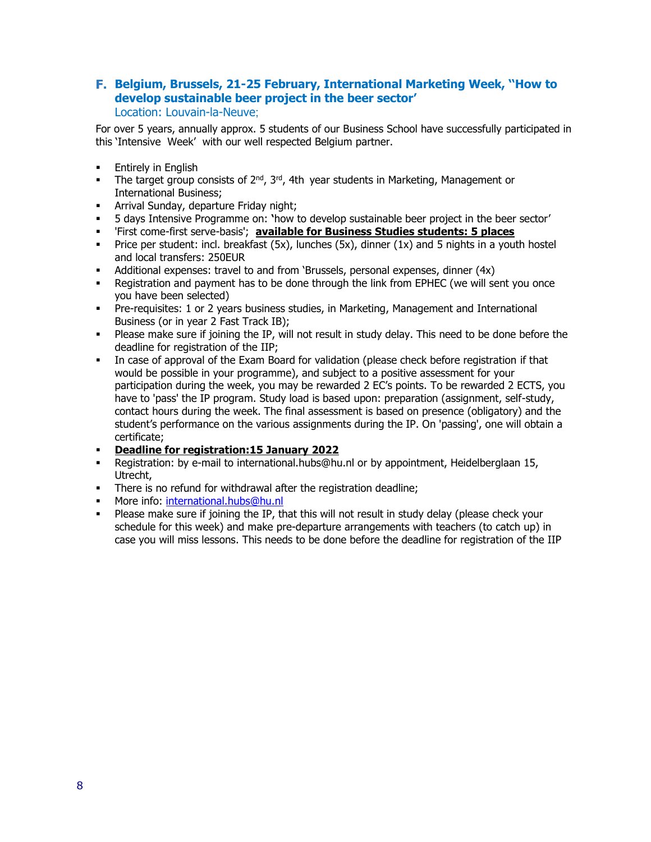#### **Belgium, Brussels, 21-25 February, International Marketing Week, ''How to develop sustainable beer project in the beer sector'** Location: Louvain-la-Neuve;

- **•** Entirely in English
- **•** The target group consists of  $2^{nd}$ ,  $3^{rd}$ , 4th year students in Marketing, Management or International Business;
- **EXEDENT Arrival Sunday, departure Friday night;**
- 5 days Intensive Programme on: **'**how to develop sustainable beer project in the beer sector'
- 'First come-first serve-basis'; **available for Business Studies students: 5 places**
- **•** Price per student: incl. breakfast  $(5x)$ , lunches  $(5x)$ , dinner  $(1x)$  and 5 nights in a youth hostel and local transfers: 250EUR
- Additional expenses: travel to and from 'Brussels, personal expenses, dinner (4x)
- Registration and payment has to be done through the link from EPHEC (we will sent you once you have been selected)
- Pre-requisites: 1 or 2 years business studies, in Marketing, Management and International Business (or in year 2 Fast Track IB);
- **·** Please make sure if joining the IP, will not result in study delay. This need to be done before the deadline for registration of the IIP;
- In case of approval of the Exam Board for validation (please check before registration if that would be possible in your programme), and subject to a positive assessment for your participation during the week, you may be rewarded 2 EC's points. To be rewarded 2 ECTS, you have to 'pass' the IP program. Study load is based upon: preparation (assignment, self-study, contact hours during the week. The final assessment is based on presence (obligatory) and the student's performance on the various assignments during the IP. On 'passing', one will obtain a certificate;
- **Deadline for registration:15 January 2022**
- Registration: by e-mail to international.hubs@hu.nl or by appointment, Heidelberglaan 15, Utrecht,
- **•** There is no refund for withdrawal after the registration deadline;
- **■** More info: [international.hubs@hu.nl](mailto:international.hubs@hu.nl)
- **•** Please make sure if joining the IP, that this will not result in study delay (please check your schedule for this week) and make pre-departure arrangements with teachers (to catch up) in case you will miss lessons. This needs to be done before the deadline for registration of the IIP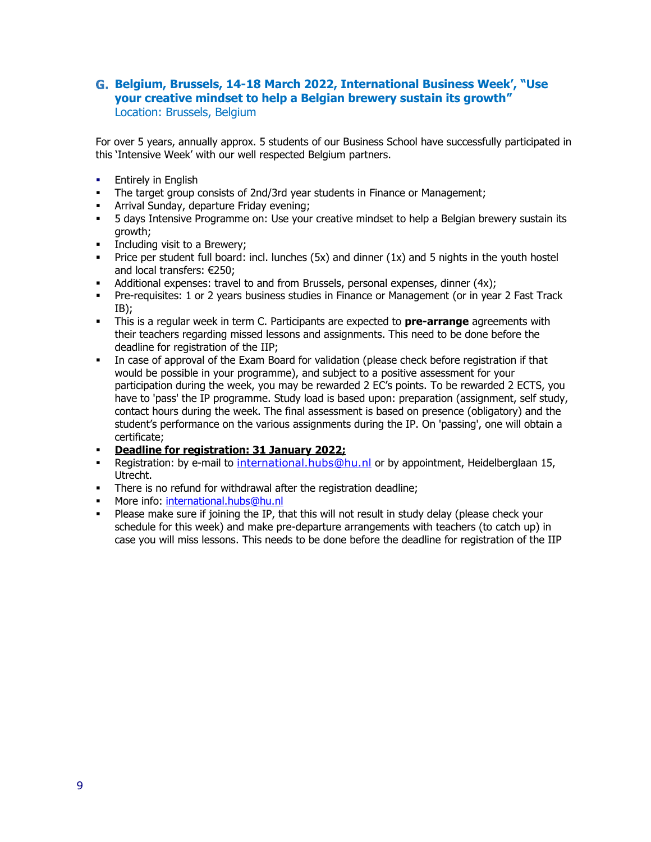### **Belgium, Brussels, 14-18 March 2022, International Business Week', "Use your creative mindset to help a Belgian brewery sustain its growth"** Location: Brussels, Belgium

- **•** Entirely in English
- The target group consists of 2nd/3rd year students in Finance or Management;
- Arrival Sunday, departure Friday evening;
- **5 davs Intensive Programme on: Use your creative mindset to help a Belgian brewery sustain its** growth;
- **•** Including visit to a Brewery:
- **•** Price per student full board: incl. lunches  $(5x)$  and dinner  $(1x)$  and 5 nights in the youth hostel and local transfers: €250;
- Additional expenses: travel to and from Brussels, personal expenses, dinner (4x);
- Pre-requisites: 1 or 2 years business studies in Finance or Management (or in year 2 Fast Track IB);
- **EXT** This is a regular week in term C. Participants are expected to **pre-arrange** agreements with their teachers regarding missed lessons and assignments. This need to be done before the deadline for registration of the IIP;
- In case of approval of the Exam Board for validation (please check before registration if that would be possible in your programme), and subject to a positive assessment for your participation during the week, you may be rewarded 2 EC's points. To be rewarded 2 ECTS, you have to 'pass' the IP programme. Study load is based upon: preparation (assignment, self study, contact hours during the week. The final assessment is based on presence (obligatory) and the student's performance on the various assignments during the IP. On 'passing', one will obtain a certificate;
- **Deadline for registration: 31 January 2022;**
- **E** Registration: by e-mail to international.hubs@hu.nl or by appointment, Heidelberglaan 15, Utrecht.
- **•** There is no refund for withdrawal after the registration deadline;
- **■** More info: [international.hubs@hu.nl](mailto:international.hubs@hu.nl)
- **•** Please make sure if joining the IP, that this will not result in study delay (please check your schedule for this week) and make pre-departure arrangements with teachers (to catch up) in case you will miss lessons. This needs to be done before the deadline for registration of the IIP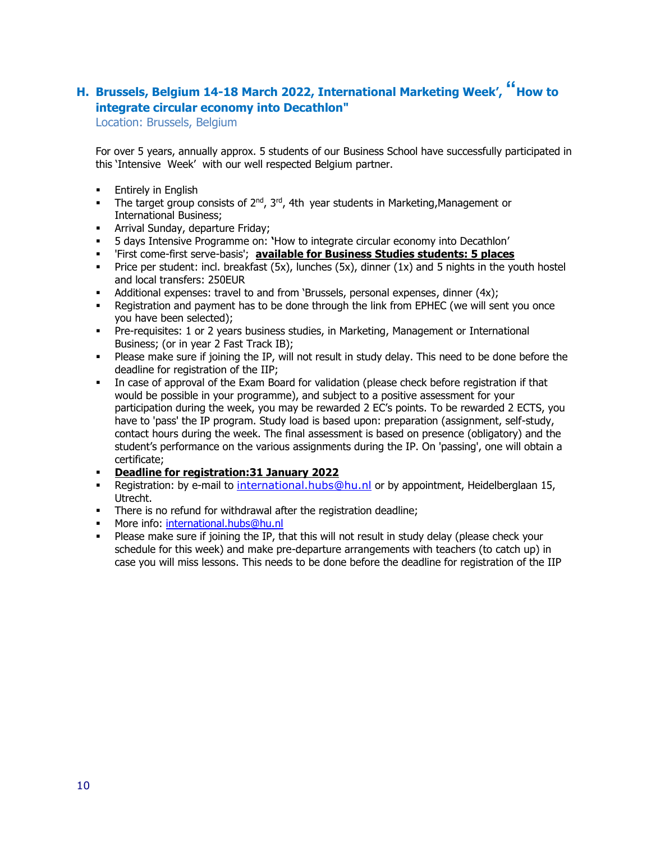# **H. Brussels, Belgium 14-18 March 2022, International Marketing Week', " How to integrate circular economy into Decathlon"**

Location: Brussels, Belgium

- **Entirely in English**
- **•** The target group consists of  $2^{nd}$ ,  $3^{rd}$ , 4th year students in Marketing, Management or International Business;
- **E** Arrival Sunday, departure Friday;
- 5 days Intensive Programme on: **'**How to integrate circular economy into Decathlon'
- 'First come-first serve-basis'; **available for Business Studies students: 5 places**
- **•** Price per student: incl. breakfast  $(5x)$ , lunches  $(5x)$ , dinner  $(1x)$  and 5 nights in the youth hostel and local transfers: 250EUR
- Additional expenses: travel to and from 'Brussels, personal expenses, dinner (4x);
- Registration and payment has to be done through the link from EPHEC (we will sent you once you have been selected);
- Pre-requisites: 1 or 2 years business studies, in Marketing, Management or International Business; (or in year 2 Fast Track IB);
- . Please make sure if joining the IP, will not result in study delay. This need to be done before the deadline for registration of the IIP;
- In case of approval of the Exam Board for validation (please check before registration if that would be possible in your programme), and subject to a positive assessment for your participation during the week, you may be rewarded 2 EC's points. To be rewarded 2 ECTS, you have to 'pass' the IP program. Study load is based upon: preparation (assignment, self-study, contact hours during the week. The final assessment is based on presence (obligatory) and the student's performance on the various assignments during the IP. On 'passing', one will obtain a certificate;
- **Deadline for registration:31 January 2022**
- Registration: by e-mail to international.hubs@hu.nl or by appointment, Heidelberglaan 15, Utrecht.
- **•** There is no refund for withdrawal after the registration deadline;
- **■** More info: [international.hubs@hu.nl](mailto:international.hubs@hu.nl)
- . Please make sure if joining the IP, that this will not result in study delay (please check your schedule for this week) and make pre-departure arrangements with teachers (to catch up) in case you will miss lessons. This needs to be done before the deadline for registration of the IIP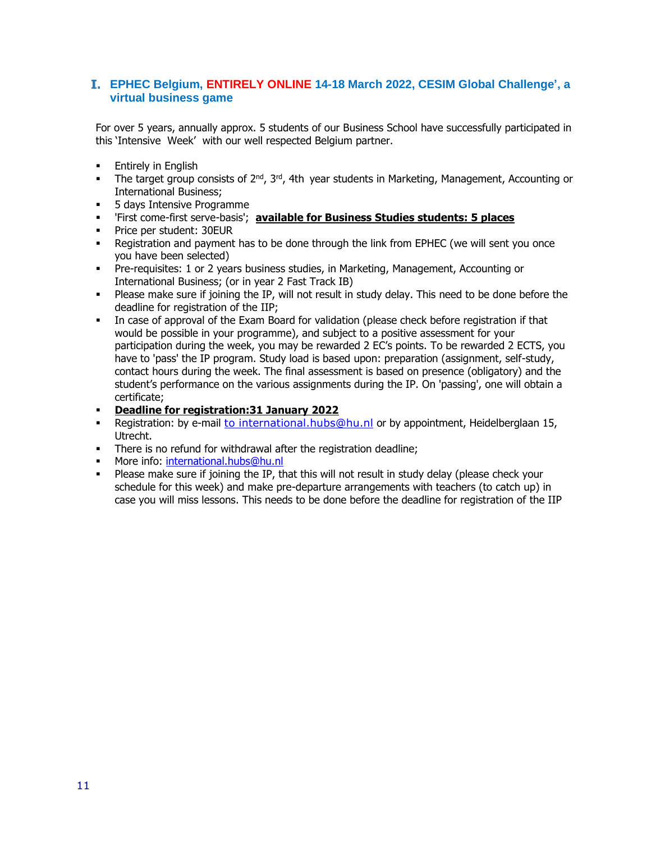### **EPHEC Belgium, ENTIRELY ONLINE 14-18 March 2022, CESIM Global Challenge', a virtual business game**

- **Entirely in English**
- **•** The target group consists of  $2^{nd}$ ,  $3^{rd}$ , 4th year students in Marketing, Management, Accounting or International Business;
- **•** 5 days Intensive Programme
- 'First come-first serve-basis'; **available for Business Studies students: 5 places**
- Price per student: 30EUR
- **•** Registration and payment has to be done through the link from EPHEC (we will sent you once you have been selected)
- Pre-requisites: 1 or 2 years business studies, in Marketing, Management, Accounting or International Business; (or in year 2 Fast Track IB)
- Please make sure if joining the IP, will not result in study delay. This need to be done before the deadline for registration of the IIP;
- In case of approval of the Exam Board for validation (please check before registration if that would be possible in your programme), and subject to a positive assessment for your participation during the week, you may be rewarded 2 EC's points. To be rewarded 2 ECTS, you have to 'pass' the IP program. Study load is based upon: preparation (assignment, self-study, contact hours during the week. The final assessment is based on presence (obligatory) and the student's performance on the various assignments during the IP. On 'passing', one will obtain a certificate;
- **Deadline for registration:31 January 2022**
- Registration: by e-mail to international.hubs@hu.nl or by appointment, Heidelberglaan 15, Utrecht.
- **•** There is no refund for withdrawal after the registration deadline;
- More info: [international.hubs@hu.nl](mailto:international.hubs@hu.nl)
- . Please make sure if joining the IP, that this will not result in study delay (please check your schedule for this week) and make pre-departure arrangements with teachers (to catch up) in case you will miss lessons. This needs to be done before the deadline for registration of the IIP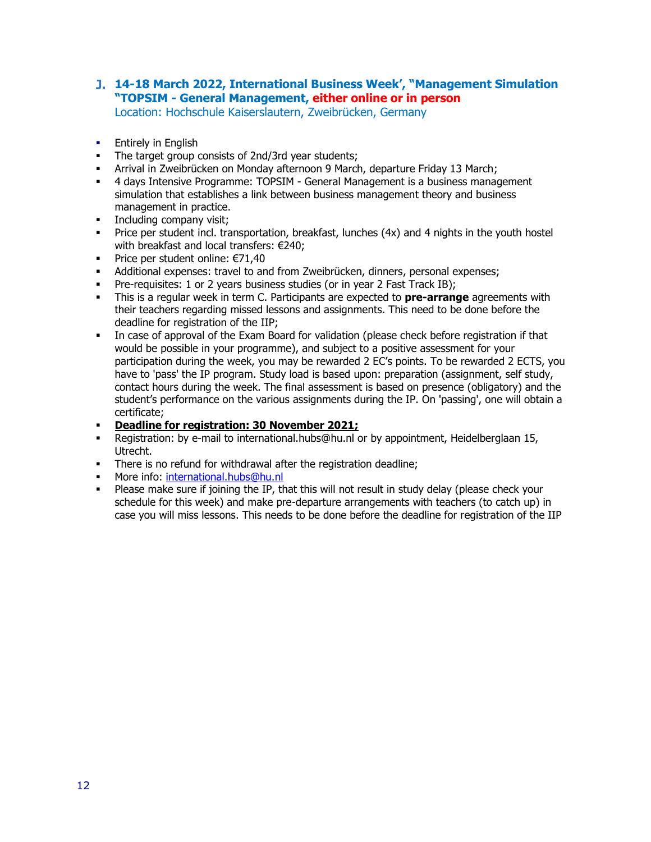# **14-18 March 2022, International Business Week', "Management Simulation "TOPSIM - General Management, either online or in person**

Location: Hochschule Kaiserslautern, Zweibrücken, Germany

- **Entirely in English**
- **The target group consists of 2nd/3rd year students;**
- Arrival in Zweibrücken on Monday afternoon 9 March, departure Friday 13 March;
- **4 days Intensive Programme: TOPSIM General Management is a business management** simulation that establishes a link between business management theory and business management in practice.
- **•** Including company visit;
- **•** Price per student incl. transportation, breakfast, lunches (4x) and 4 nights in the youth hostel with breakfast and local transfers: €240;
- Price per student online: €71,40
- Additional expenses: travel to and from Zweibrücken, dinners, personal expenses;
- **•** Pre-requisites: 1 or 2 years business studies (or in year 2 Fast Track IB);
- This is a regular week in term C. Participants are expected to **pre-arrange** agreements with their teachers regarding missed lessons and assignments. This need to be done before the deadline for registration of the IIP;
- In case of approval of the Exam Board for validation (please check before registration if that would be possible in your programme), and subject to a positive assessment for your participation during the week, you may be rewarded 2 EC's points. To be rewarded 2 ECTS, you have to 'pass' the IP program. Study load is based upon: preparation (assignment, self study, contact hours during the week. The final assessment is based on presence (obligatory) and the student's performance on the various assignments during the IP. On 'passing', one will obtain a certificate;
- **Deadline for registration: 30 November 2021;**
- Registration: by e-mail to international.hubs@hu.nl or by appointment, Heidelberglaan 15, Utrecht.
- **•** There is no refund for withdrawal after the registration deadline;
- **■** More info: [international.hubs@hu.nl](mailto:international.hubs@hu.nl)
- Please make sure if joining the IP, that this will not result in study delay (please check your schedule for this week) and make pre-departure arrangements with teachers (to catch up) in case you will miss lessons. This needs to be done before the deadline for registration of the IIP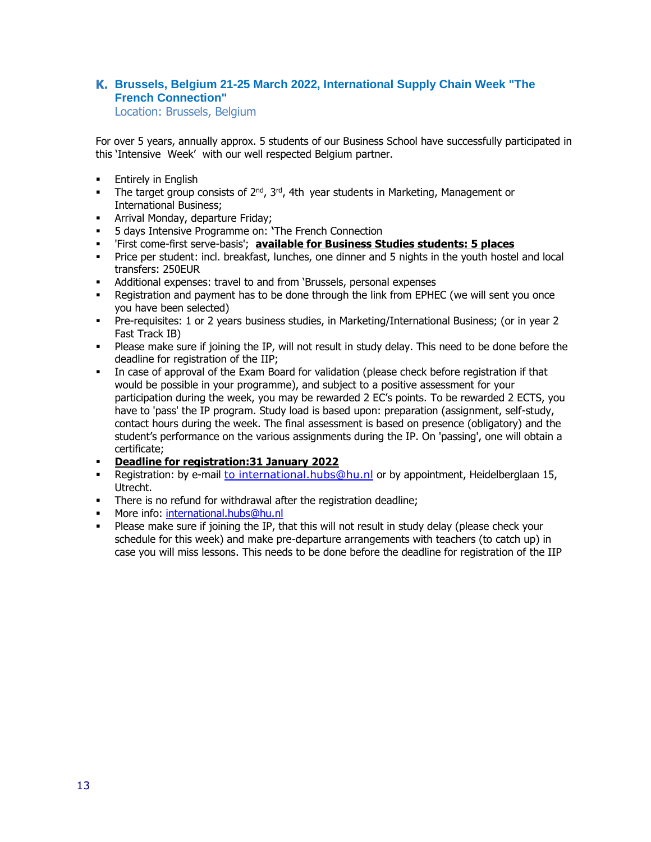## **Brussels, Belgium 21-25 March 2022, International Supply Chain Week "The French Connection"**

Location: Brussels, Belgium

- **•** Entirely in English
- **•** The target group consists of  $2^{nd}$ ,  $3^{rd}$ , 4th year students in Marketing, Management or International Business;
- **Arrival Monday, departure Friday:**
- 5 days Intensive Programme on: **'**The French Connection
- 'First come-first serve-basis'; **available for Business Studies students: 5 places**
- Price per student: incl. breakfast, lunches, one dinner and 5 nights in the youth hostel and local transfers: 250EUR
- Additional expenses: travel to and from 'Brussels, personal expenses
- **•** Registration and payment has to be done through the link from EPHEC (we will sent you once you have been selected)
- Pre-requisites: 1 or 2 years business studies, in Marketing/International Business; (or in year 2 Fast Track IB)
- Please make sure if joining the IP, will not result in study delay. This need to be done before the deadline for registration of the IIP;
- In case of approval of the Exam Board for validation (please check before registration if that would be possible in your programme), and subject to a positive assessment for your participation during the week, you may be rewarded 2 EC's points. To be rewarded 2 ECTS, you have to 'pass' the IP program. Study load is based upon: preparation (assignment, self-study, contact hours during the week. The final assessment is based on presence (obligatory) and the student's performance on the various assignments during the IP. On 'passing', one will obtain a certificate;
- **Deadline for registration:31 January 2022**
- Registration: by e-mail to international.hubs@hu.nl or by appointment, Heidelberglaan 15, Utrecht.
- **•** There is no refund for withdrawal after the registration deadline;
- **EXECT** More info: [international.hubs@hu.nl](mailto:international.hubs@hu.nl)
- **•** Please make sure if joining the IP, that this will not result in study delay (please check your schedule for this week) and make pre-departure arrangements with teachers (to catch up) in case you will miss lessons. This needs to be done before the deadline for registration of the IIP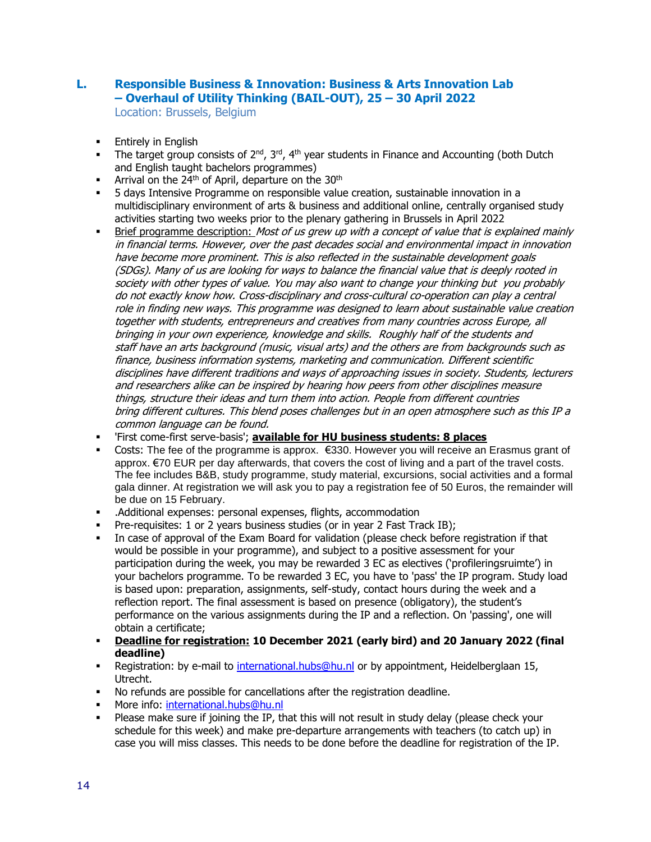## **L. Responsible Business & Innovation: Business & Arts Innovation Lab – Overhaul of Utility Thinking (BAIL-OUT), 25 – 30 April 2022**

Location: Brussels, Belgium

- **Entirely in English**
- The target group consists of  $2^{nd}$ ,  $3^{rd}$ ,  $4^{th}$  year students in Finance and Accounting (both Dutch and English taught bachelors programmes)
- Arrival on the 24<sup>th</sup> of April, departure on the 30<sup>th</sup>
- 5 days Intensive Programme on responsible value creation, sustainable innovation in a multidisciplinary environment of arts & business and additional online, centrally organised study activities starting two weeks prior to the plenary gathering in Brussels in April 2022
- **EXECT** Brief programme description: *Most of us grew up with a concept of value that is explained mainly* in financial terms. However, over the past decades social and environmental impact in innovation have become more prominent. This is also reflected in the sustainable development goals (SDGs). Many of us are looking for ways to balance the financial value that is deeply rooted in society with other types of value. You may also want to change your thinking but you probably do not exactly know how. Cross-disciplinary and cross-cultural co-operation can play a central role in finding new ways. This programme was designed to learn about sustainable value creation together with students, entrepreneurs and creatives from many countries across Europe, all bringing in your own experience, knowledge and skills. Roughly half of the students and staff have an arts background (music, visual arts) and the others are from backgrounds such as finance, business information systems, marketing and communication. Different scientific disciplines have different traditions and ways of approaching issues in society. Students, lecturers and researchers alike can be inspired by hearing how peers from other disciplines measure things, structure their ideas and turn them into action. People from different countries bring different cultures. This blend poses challenges but in an open atmosphere such as this IP a common language can be found.
- 'First come-first serve-basis'; **available for HU business students: 8 places**
- Costs: The fee of the programme is approx. €330. However you will receive an Erasmus grant of approx. €70 EUR per day afterwards, that covers the cost of living and a part of the travel costs. The fee includes B&B, study programme, study material, excursions, social activities and a formal gala dinner. At registration we will ask you to pay a registration fee of 50 Euros, the remainder will be due on 15 February.
- .Additional expenses: personal expenses, flights, accommodation
- Pre-requisites: 1 or 2 years business studies (or in year 2 Fast Track IB);
- In case of approval of the Exam Board for validation (please check before registration if that would be possible in your programme), and subject to a positive assessment for your participation during the week, you may be rewarded 3 EC as electives ('profileringsruimte') in your bachelors programme. To be rewarded 3 EC, you have to 'pass' the IP program. Study load is based upon: preparation, assignments, self-study, contact hours during the week and a reflection report. The final assessment is based on presence (obligatory), the student's performance on the various assignments during the IP and a reflection. On 'passing', one will obtain a certificate;
- **Deadline for registration: 10 December 2021 (early bird) and 20 January 2022 (final deadline)**
- **EXECTS:** Registration: by e-mail to [international.hubs@hu.nl](mailto:international.hubs@hu.nl) or by appointment, Heidelberglaan 15, Utrecht.
- No refunds are possible for cancellations after the registration deadline.
- More info: [international.hubs@hu.nl](mailto:international.hubs@hu.nl)
- Please make sure if joining the IP, that this will not result in study delay (please check your schedule for this week) and make pre-departure arrangements with teachers (to catch up) in case you will miss classes. This needs to be done before the deadline for registration of the IP.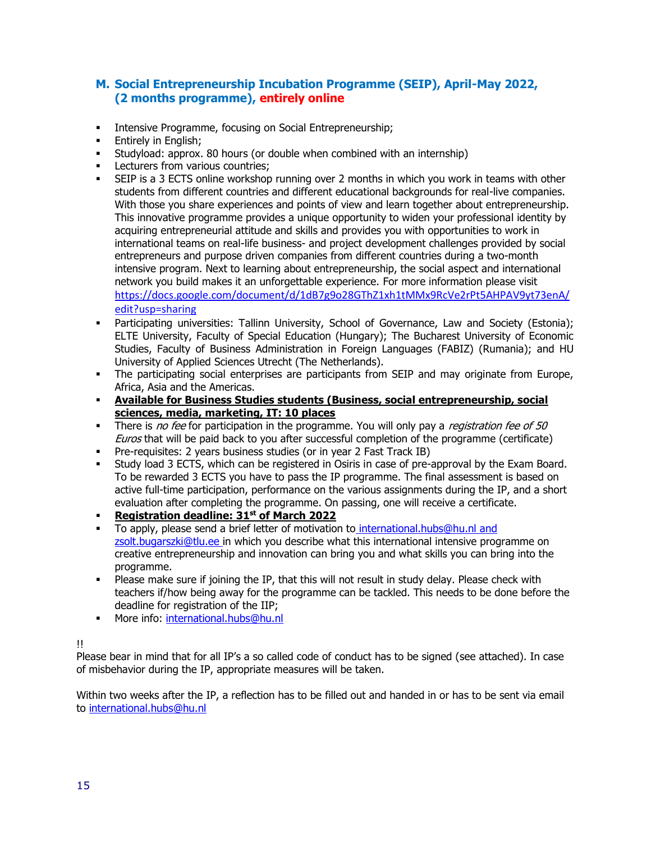## **M. Social Entrepreneurship Incubation Programme (SEIP), April-May 2022, (2 months programme), entirely online**

- **Intensive Programme, focusing on Social Entrepreneurship;**
- **Entirely in English:**
- Studyload: approx. 80 hours (or double when combined with an internship)
- **•** Lecturers from various countries;
- **•** SEIP is a 3 ECTS online workshop running over 2 months in which you work in teams with other students from different countries and different educational backgrounds for real-live companies. With those you share experiences and points of view and learn together about entrepreneurship. This innovative programme provides a unique opportunity to widen your professional identity by acquiring entrepreneurial attitude and skills and provides you with opportunities to work in international teams on real-life business- and project development challenges provided by social entrepreneurs and purpose driven companies from different countries during a two-month intensive program. Next to learning about entrepreneurship, the social aspect and international network you build makes it an unforgettable experience. For more information please visit [https://docs.google.com/document/d/1dB7g9o28GThZ1xh1tMMx9RcVe2rPt5AHPAV9yt73enA/](https://docs.google.com/document/d/1dB7g9o28GThZ1xh1tMMx9RcVe2rPt5AHPAV9yt73enA/edit?usp=sharing) [edit?usp=sharing](https://docs.google.com/document/d/1dB7g9o28GThZ1xh1tMMx9RcVe2rPt5AHPAV9yt73enA/edit?usp=sharing)
- Participating universities: Tallinn University, School of Governance, Law and Society (Estonia); ELTE University, Faculty of Special Education (Hungary); The Bucharest University of Economic Studies, Faculty of Business Administration in Foreign Languages (FABIZ) (Rumania); and HU University of Applied Sciences Utrecht (The Netherlands).
- **•** The participating social enterprises are participants from SEIP and may originate from Europe, Africa, Asia and the Americas.
- **Available for Business Studies students (Business, social entrepreneurship, social sciences, media, marketing, IT: 10 places**
- There is no fee for participation in the programme. You will only pay a *registration fee of 50* Euros that will be paid back to you after successful completion of the programme (certificate)
- Pre-requisites: 2 years business studies (or in year 2 Fast Track IB)
- Study load 3 ECTS, which can be registered in Osiris in case of pre-approval by the Exam Board. To be rewarded 3 ECTS you have to pass the IP programme. The final assessment is based on active full-time participation, performance on the various assignments during the IP, and a short evaluation after completing the programme. On passing, one will receive a certificate.
- **Registration deadline: 31st of March 2022**
- To apply, please send a brief letter of motivation to [international.hubs@hu.nl](mailto:international.hubs@hu.nl) and [zsolt.bugarszki@tlu.ee](mailto:zsolt.bugarszki@tlu.ee) in which you describe what this international intensive programme on creative entrepreneurship and innovation can bring you and what skills you can bring into the programme.
- . Please make sure if joining the IP, that this will not result in study delay. Please check with teachers if/how being away for the programme can be tackled. This needs to be done before the deadline for registration of the IIP;
- **■** More info: [international.hubs@hu.nl](mailto:international.hubs@hu.nl)

!!

Please bear in mind that for all IP's a so called code of conduct has to be signed (see attached). In case of misbehavior during the IP, appropriate measures will be taken.

Within two weeks after the IP, a reflection has to be filled out and handed in or has to be sent via email to [international.hubs@hu.nl](mailto:international.hubs@hu.nl)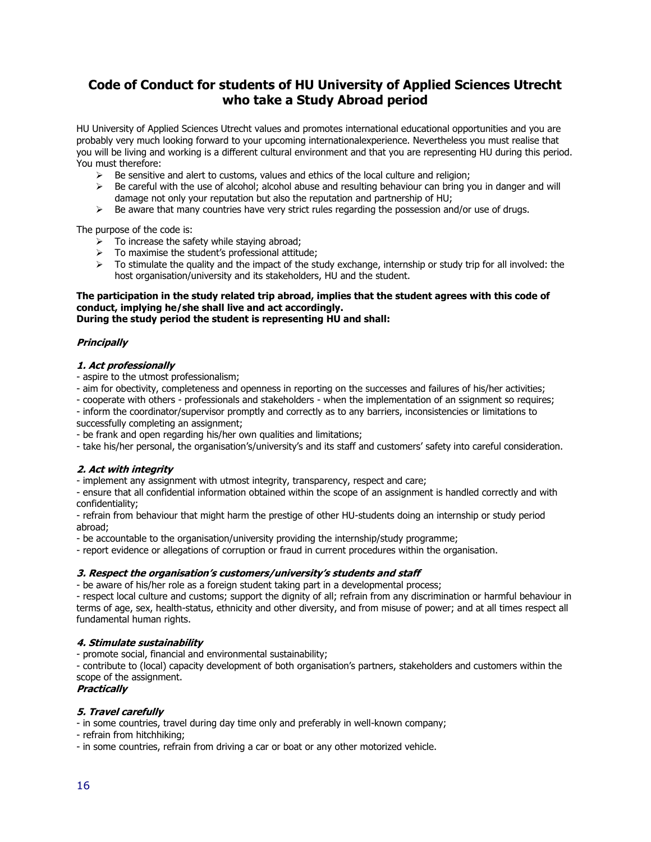## **Code of Conduct for students of HU University of Applied Sciences Utrecht who take a Study Abroad period**

HU University of Applied Sciences Utrecht values and promotes international educational opportunities and you are probably very much looking forward to your upcoming internationalexperience. Nevertheless you must realise that you will be living and working is a different cultural environment and that you are representing HU during this period. You must therefore:

- $\triangleright$  Be sensitive and alert to customs, values and ethics of the local culture and religion;
- $\triangleright$  Be careful with the use of alcohol; alcohol abuse and resulting behaviour can bring you in danger and will damage not only your reputation but also the reputation and partnership of HU;
- $\triangleright$  Be aware that many countries have very strict rules regarding the possession and/or use of drugs.

The purpose of the code is:

- To increase the safety while staying abroad;
- To maximise the student's professional attitude;
- $\triangleright$  To stimulate the quality and the impact of the study exchange, internship or study trip for all involved: the host organisation/university and its stakeholders, HU and the student.

#### **The participation in the study related trip abroad, implies that the student agrees with this code of conduct, implying he/she shall live and act accordingly. During the study period the student is representing HU and shall:**

#### **Principally**

#### **1. Act professionally**

- aspire to the utmost professionalism;
- aim for obectivity, completeness and openness in reporting on the successes and failures of his/her activities;
- cooperate with others professionals and stakeholders when the implementation of an ssignment so requires;
- inform the coordinator/supervisor promptly and correctly as to any barriers, inconsistencies or limitations to
- successfully completing an assignment;
- be frank and open regarding his/her own qualities and limitations;
- take his/her personal, the organisation's/university's and its staff and customers' safety into careful consideration.

#### **2. Act with integrity**

- implement any assignment with utmost integrity, transparency, respect and care;

- ensure that all confidential information obtained within the scope of an assignment is handled correctly and with confidentiality;

- refrain from behaviour that might harm the prestige of other HU-students doing an internship or study period abroad;

- be accountable to the organisation/university providing the internship/study programme;

- report evidence or allegations of corruption or fraud in current procedures within the organisation.

#### **3. Respect the organisation's customers/university's students and staff**

- be aware of his/her role as a foreign student taking part in a developmental process;

- respect local culture and customs; support the dignity of all; refrain from any discrimination or harmful behaviour in terms of age, sex, health-status, ethnicity and other diversity, and from misuse of power; and at all times respect all fundamental human rights.

#### **4. Stimulate sustainability**

- promote social, financial and environmental sustainability;

- contribute to (local) capacity development of both organisation's partners, stakeholders and customers within the scope of the assignment.

#### **Practically**

#### **5. Travel carefully**

- in some countries, travel during day time only and preferably in well-known company;

- refrain from hitchhiking;

- in some countries, refrain from driving a car or boat or any other motorized vehicle.